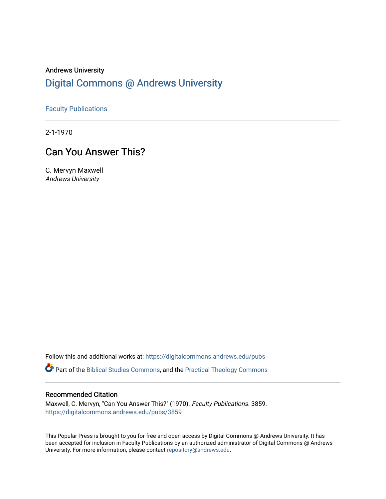# Andrews University [Digital Commons @ Andrews University](https://digitalcommons.andrews.edu/)

[Faculty Publications](https://digitalcommons.andrews.edu/pubs)

2-1-1970

# Can You Answer This?

C. Mervyn Maxwell Andrews University

Follow this and additional works at: [https://digitalcommons.andrews.edu/pubs](https://digitalcommons.andrews.edu/pubs?utm_source=digitalcommons.andrews.edu%2Fpubs%2F3859&utm_medium=PDF&utm_campaign=PDFCoverPages) 

Part of the [Biblical Studies Commons,](http://network.bepress.com/hgg/discipline/539?utm_source=digitalcommons.andrews.edu%2Fpubs%2F3859&utm_medium=PDF&utm_campaign=PDFCoverPages) and the [Practical Theology Commons](http://network.bepress.com/hgg/discipline/1186?utm_source=digitalcommons.andrews.edu%2Fpubs%2F3859&utm_medium=PDF&utm_campaign=PDFCoverPages) 

# Recommended Citation

Maxwell, C. Mervyn, "Can You Answer This?" (1970). Faculty Publications. 3859. [https://digitalcommons.andrews.edu/pubs/3859](https://digitalcommons.andrews.edu/pubs/3859?utm_source=digitalcommons.andrews.edu%2Fpubs%2F3859&utm_medium=PDF&utm_campaign=PDFCoverPages) 

This Popular Press is brought to you for free and open access by Digital Commons @ Andrews University. It has been accepted for inclusion in Faculty Publications by an authorized administrator of Digital Commons @ Andrews University. For more information, please contact [repository@andrews.edu](mailto:repository@andrews.edu).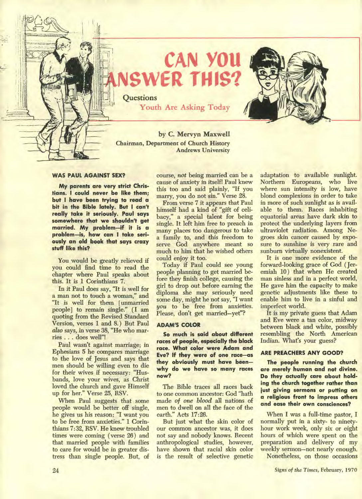

**CAN YOU ER THIS** 

Quest**ions Youth Are Asking Today** 

**by C. Mervyn Maxwell Chairman, Department of Church History Andrews University** 

## **WAS PAUL AGAINST SEX?**

**My parents are very strict Christians. I could never be like them; but I have been trying to read a bit in the Bible lately. But I can't really take it seriously. Paul says somewhere that we shouldn't get married. My problem—if it is a problem—is, how can I take seriously an old book that says crazy stuff like this?** 

**You would be greatly relieved if you could find time to read the chapter where Paul speaks about this. It is 1 Corinthians 7.** 

**In it Paul does say, "It is well for a man not to touch a woman," and "It is well for them [unmarried people] to remain single." (I am quoting from the Revised Standard Version, verses 1 and 8.) But Paul**  *also* **says, in verse 38, "He who marries . . . does well"!** 

**Paul wasn't against marriage; in Ephesians 5 he compares marriage to the love of Jesus and says that men should be willing even to die for their wives if necessary: "Husbands, love your wives, as Christ loved the church and gave Himself up for her." Verse 25, RSV.** 

**When Paul suggests that some people would be better off single, he gives us his reason: "I want you to be free from anxieties." 1 Corinthians 7:32, RSV. He knew troubled times were coming ( verse 26) and that married people with families to care for would be in greater distress than single people. But, of** 

**course,** *not* **being married can be a cause of anxiety in itself! Paul knew this too and said plainly, "If you marry, you do not sin." Verse 28.** 

**From verse 7 it appears that Paul himself had a kind of "gift of celibacy," a special talent for being single. It left him free to preach in many places too dangerous to take a family to, and this freedom to serve God anywhere meant so much to him that he wished others could enjoy it too.** 

**Today if Paul could see young people planning to get married before they finish college, causing the girl to drop out before earning the diploma she may seriously need some day, might he not say, "I want you to be free from anxieties. Please, don't get married—yet"?** 

## **ADAM'S COLOR**

**So much is said about different races of people, especially the black race. What color were Adam and Eve? If they were of one race—as they obviously must have been why do we have so many races now?** 

**The Bible traces all races back to one common ancestor: Cod "hath made** *of one blood* **all nations of men to dwell on all the face of the earth." Acts 17:26.** 

**But just what the skin color of our common ancestor was, it does not say and nobody knows. Recent anthropological studies, however, have shown that racial skin color is the result of selective genetic**  **adaptation to available sunlight. Northern Europeans, who live where sun intensity is low, have blond complexions in order to take in more of such sunlight as is available to them. Races inhabiting equatorial areas have dark skin to protect the underlying layers from ultraviolet radiation. Among Negroes skin cancer caused by exposure to sunshine is very rare and sunburn virtually nonexistent.** 

**It is one more evidence of the forward-looking grace of God ( Jeremiah 10) that when He created man sinless and in a perfect world, He gave him the capacity to make genetic adjustments like these to enable him to live in a sinful and imperfect world.** 

**It is my private guess that Adam and Eve were a tan color, midway between black and white, possibly resembling the North American Indian. What's your guess?** 

#### **ARE PREACHERS ANY GOOD?**

**The people running the church are merely human and not divine. Do they actually care about holding the church together rather than just giving sermons or putting on a religious front to impress others and ease their own consciences?** 

**When I was a full-time pastor, I normally put in a sixty- to ninetyhour work week, only six or eight hours of which were spent on the preparation and delivery of my weekly sermon—not nearly enough. Nonetheless, on those occasions**